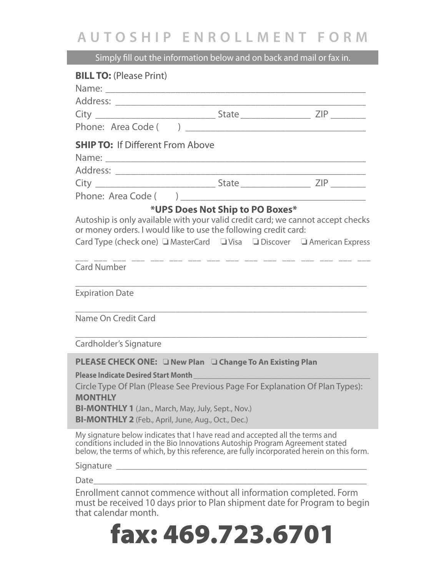## **AUTOSHIP ENROLLMENT FORM**

Simply fill out the information below and on back and mail or fax in.

| <b>BILL TO: (Please Print)</b>                                                                                                                                                                                                                                          |                                                                         |  |
|-------------------------------------------------------------------------------------------------------------------------------------------------------------------------------------------------------------------------------------------------------------------------|-------------------------------------------------------------------------|--|
|                                                                                                                                                                                                                                                                         |                                                                         |  |
|                                                                                                                                                                                                                                                                         |                                                                         |  |
|                                                                                                                                                                                                                                                                         |                                                                         |  |
| <b>SHIP TO: If Different From Above</b>                                                                                                                                                                                                                                 |                                                                         |  |
|                                                                                                                                                                                                                                                                         |                                                                         |  |
|                                                                                                                                                                                                                                                                         |                                                                         |  |
|                                                                                                                                                                                                                                                                         |                                                                         |  |
|                                                                                                                                                                                                                                                                         |                                                                         |  |
| Autoship is only available with your valid credit card; we cannot accept checks<br>or money orders. I would like to use the following credit card:                                                                                                                      | *UPS Does Not Ship to PO Boxes*                                         |  |
| Card Type (check one) ■ MasterCard ■ Visa ■ Discover ■ American Express                                                                                                                                                                                                 |                                                                         |  |
| <b>Card Number</b>                                                                                                                                                                                                                                                      | <u> 111 - 112 - 112 - 112 - 112 - 112 - 112 - 112 - 112 - 112 - 112</u> |  |
| <b>Expiration Date</b>                                                                                                                                                                                                                                                  |                                                                         |  |
| Name On Credit Card                                                                                                                                                                                                                                                     |                                                                         |  |
| Cardholder's Signature                                                                                                                                                                                                                                                  |                                                                         |  |
| <b>PLEASE CHECK ONE:</b> ONew Plan O Change To An Existing Plan                                                                                                                                                                                                         |                                                                         |  |
| <b>Please Indicate Desired Start Month</b><br>Circle Type Of Plan (Please See Previous Page For Explanation Of Plan Types):<br><b>MONTHLY</b><br><b>BI-MONTHLY 1</b> (Jan., March, May, July, Sept., Nov.)<br><b>BI-MONTHLY 2</b> (Feb., April, June, Aug., Oct., Dec.) |                                                                         |  |
| My signature below indicates that I have read and accepted all the terms and<br>conditions included in the Bio Innovations Autoship Program Agreement stated<br>below, the terms of which, by this reference, are fully incorporated herein on this form.               |                                                                         |  |
|                                                                                                                                                                                                                                                                         |                                                                         |  |
|                                                                                                                                                                                                                                                                         |                                                                         |  |
| Enrollment cannot commence without all information completed. Form<br>must be received 10 days prior to Plan shipment date for Program to begin                                                                                                                         |                                                                         |  |

that calendar month. fax: 469.723.6701